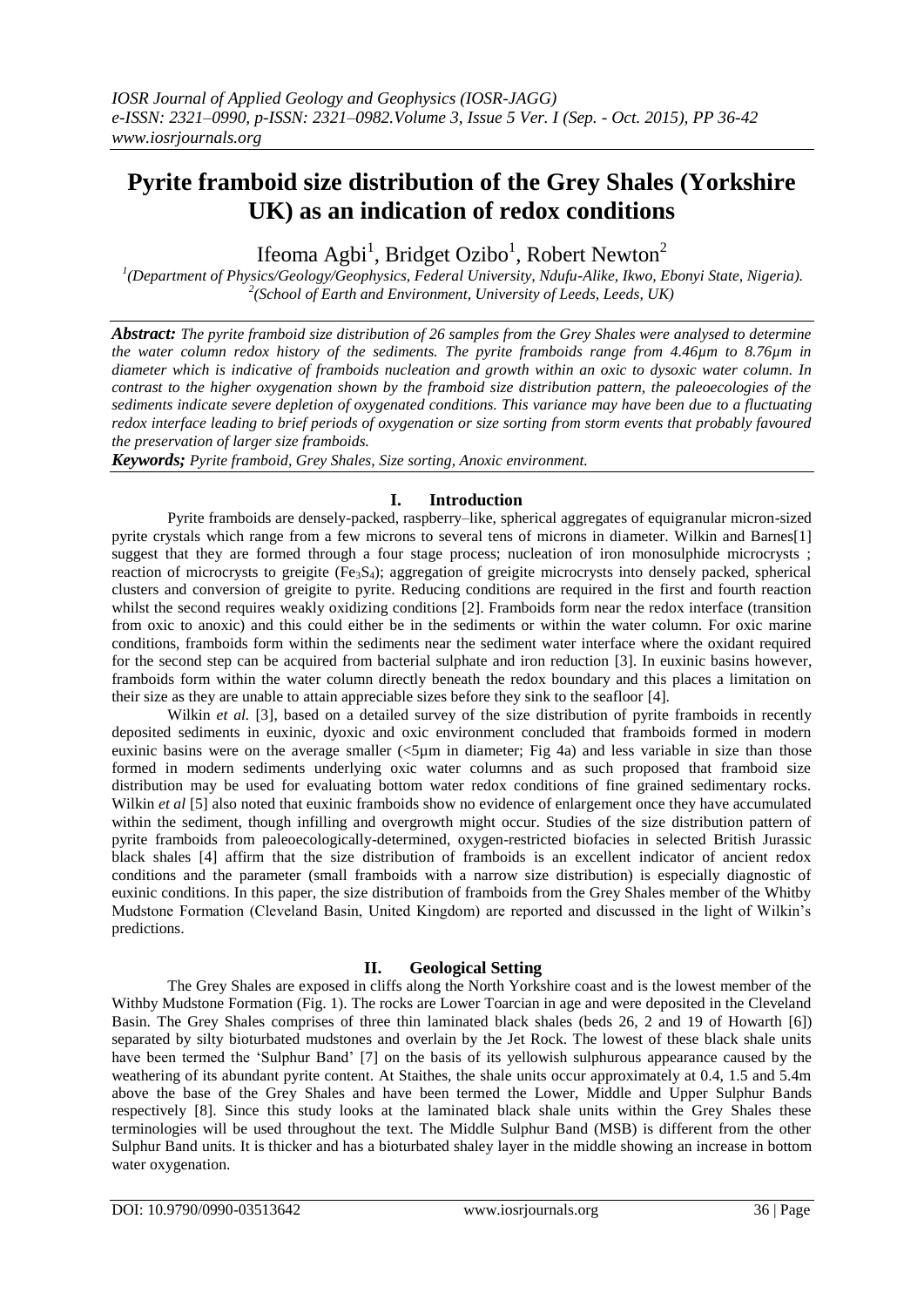# **Pyrite framboid size distribution of the Grey Shales (Yorkshire UK) as an indication of redox conditions**

Ifeoma Agbi<sup>1</sup>, Bridget Ozibo<sup>1</sup>, Robert Newton<sup>2</sup>

*1 (Department of Physics/Geology/Geophysics, Federal University, Ndufu-Alike, Ikwo, Ebonyi State, Nigeria). 2 (School of Earth and Environment, University of Leeds, Leeds, UK)*

*Abstract: The pyrite framboid size distribution of 26 samples from the Grey Shales were analysed to determine the water column redox history of the sediments. The pyrite framboids range from 4.46µm to 8.76µm in diameter which is indicative of framboids nucleation and growth within an oxic to dysoxic water column. In contrast to the higher oxygenation shown by the framboid size distribution pattern, the paleoecologies of the sediments indicate severe depletion of oxygenated conditions. This variance may have been due to a fluctuating redox interface leading to brief periods of oxygenation or size sorting from storm events that probably favoured the preservation of larger size framboids.* 

*Keywords; Pyrite framboid, Grey Shales, Size sorting, Anoxic environment.*

## **I. Introduction**

Pyrite framboids are densely-packed, raspberry–like, spherical aggregates of equigranular micron-sized pyrite crystals which range from a few microns to several tens of microns in diameter. Wilkin and Barnes[1] suggest that they are formed through a four stage process; nucleation of iron monosulphide microcrysts ; reaction of microcrysts to greigite ( $Fe<sub>3</sub>S<sub>4</sub>$ ); aggregation of greigite microcrysts into densely packed, spherical clusters and conversion of greigite to pyrite. Reducing conditions are required in the first and fourth reaction whilst the second requires weakly oxidizing conditions [2]. Framboids form near the redox interface (transition from oxic to anoxic) and this could either be in the sediments or within the water column. For oxic marine conditions, framboids form within the sediments near the sediment water interface where the oxidant required for the second step can be acquired from bacterial sulphate and iron reduction [3]. In euxinic basins however, framboids form within the water column directly beneath the redox boundary and this places a limitation on their size as they are unable to attain appreciable sizes before they sink to the seafloor [4].

Wilkin *et al.* [3], based on a detailed survey of the size distribution of pyrite framboids in recently deposited sediments in euxinic, dyoxic and oxic environment concluded that framboids formed in modern euxinic basins were on the average smaller (<5µm in diameter; Fig 4a) and less variable in size than those formed in modern sediments underlying oxic water columns and as such proposed that framboid size distribution may be used for evaluating bottom water redox conditions of fine grained sedimentary rocks. Wilkin *et al* [5] also noted that euxinic framboids show no evidence of enlargement once they have accumulated within the sediment, though infilling and overgrowth might occur. Studies of the size distribution pattern of pyrite framboids from paleoecologically-determined, oxygen-restricted biofacies in selected British Jurassic black shales [4] affirm that the size distribution of framboids is an excellent indicator of ancient redox conditions and the parameter (small framboids with a narrow size distribution) is especially diagnostic of euxinic conditions. In this paper, the size distribution of framboids from the Grey Shales member of the Whitby Mudstone Formation (Cleveland Basin, United Kingdom) are reported and discussed in the light of Wilkin's predictions.

## **II. Geological Setting**

The Grey Shales are exposed in cliffs along the North Yorkshire coast and is the lowest member of the Withby Mudstone Formation (Fig. 1). The rocks are Lower Toarcian in age and were deposited in the Cleveland Basin. The Grey Shales comprises of three thin laminated black shales (beds 26, 2 and 19 of Howarth [6]) separated by silty bioturbated mudstones and overlain by the Jet Rock. The lowest of these black shale units have been termed the 'Sulphur Band' [7] on the basis of its yellowish sulphurous appearance caused by the weathering of its abundant pyrite content. At Staithes, the shale units occur approximately at 0.4, 1.5 and 5.4m above the base of the Grey Shales and have been termed the Lower, Middle and Upper Sulphur Bands respectively [8]. Since this study looks at the laminated black shale units within the Grey Shales these terminologies will be used throughout the text. The Middle Sulphur Band (MSB) is different from the other Sulphur Band units. It is thicker and has a bioturbated shaley layer in the middle showing an increase in bottom water oxygenation.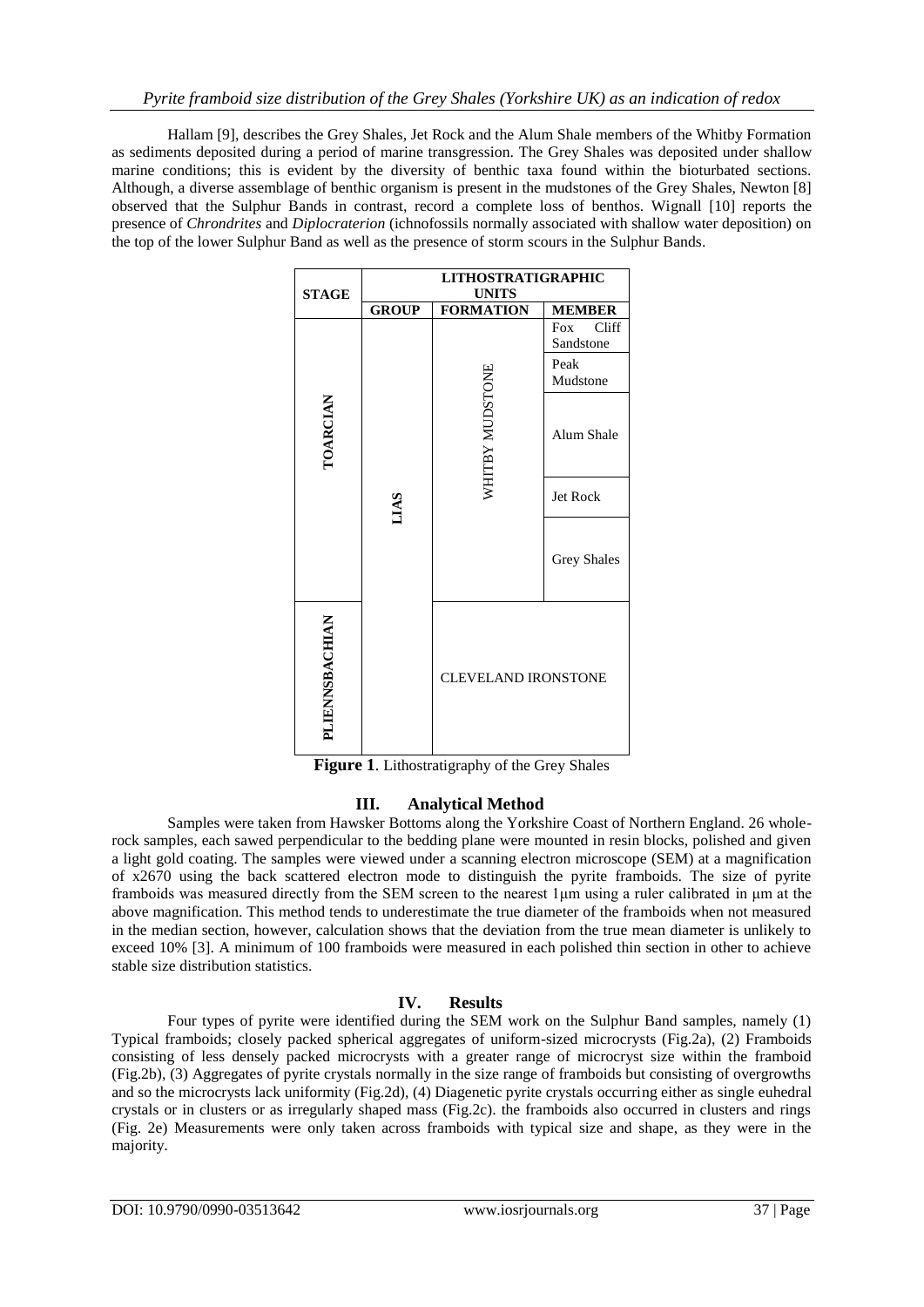Hallam [9], describes the Grey Shales, Jet Rock and the Alum Shale members of the Whitby Formation as sediments deposited during a period of marine transgression. The Grey Shales was deposited under shallow marine conditions; this is evident by the diversity of benthic taxa found within the bioturbated sections. Although, a diverse assemblage of benthic organism is present in the mudstones of the Grey Shales, Newton [8] observed that the Sulphur Bands in contrast, record a complete loss of benthos. Wignall [10] reports the presence of *Chrondrites* and *Diplocraterion* (ichnofossils normally associated with shallow water deposition) on the top of the lower Sulphur Band as well as the presence of storm scours in the Sulphur Bands.

| <b>STAGE</b>          | <b>LITHOSTRATIGRAPHIC</b><br><b>UNITS</b> |                            |                                               |  |  |
|-----------------------|-------------------------------------------|----------------------------|-----------------------------------------------|--|--|
|                       | <b>GROUP</b>                              | <b>FORMATION</b>           | <b>MEMBER</b>                                 |  |  |
| TOARCIAN              | LIAS                                      |                            | Cliff<br>Fox<br>Sandstone<br>Peak<br>Mudstone |  |  |
|                       |                                           | WHITBY MUDSTONE            | Alum Shale                                    |  |  |
|                       |                                           |                            | Jet Rock                                      |  |  |
|                       |                                           |                            | <b>Grey Shales</b>                            |  |  |
| <b>PLIENNSBACHIAN</b> |                                           | <b>CLEVELAND IRONSTONE</b> |                                               |  |  |

**Figure 1**. Lithostratigraphy of the Grey Shales

# **III. Analytical Method**

Samples were taken from Hawsker Bottoms along the Yorkshire Coast of Northern England. 26 wholerock samples, each sawed perpendicular to the bedding plane were mounted in resin blocks, polished and given a light gold coating. The samples were viewed under a scanning electron microscope (SEM) at a magnification of x2670 using the back scattered electron mode to distinguish the pyrite framboids. The size of pyrite framboids was measured directly from the SEM screen to the nearest 1μm using a ruler calibrated in μm at the above magnification. This method tends to underestimate the true diameter of the framboids when not measured in the median section, however, calculation shows that the deviation from the true mean diameter is unlikely to exceed 10% [3]. A minimum of 100 framboids were measured in each polished thin section in other to achieve stable size distribution statistics.

## **IV. Results**

Four types of pyrite were identified during the SEM work on the Sulphur Band samples, namely (1) Typical framboids; closely packed spherical aggregates of uniform-sized microcrysts (Fig.2a), (2) Framboids consisting of less densely packed microcrysts with a greater range of microcryst size within the framboid (Fig.2b), (3) Aggregates of pyrite crystals normally in the size range of framboids but consisting of overgrowths and so the microcrysts lack uniformity (Fig.2d), (4) Diagenetic pyrite crystals occurring either as single euhedral crystals or in clusters or as irregularly shaped mass (Fig.2c). the framboids also occurred in clusters and rings (Fig. 2e) Measurements were only taken across framboids with typical size and shape, as they were in the majority.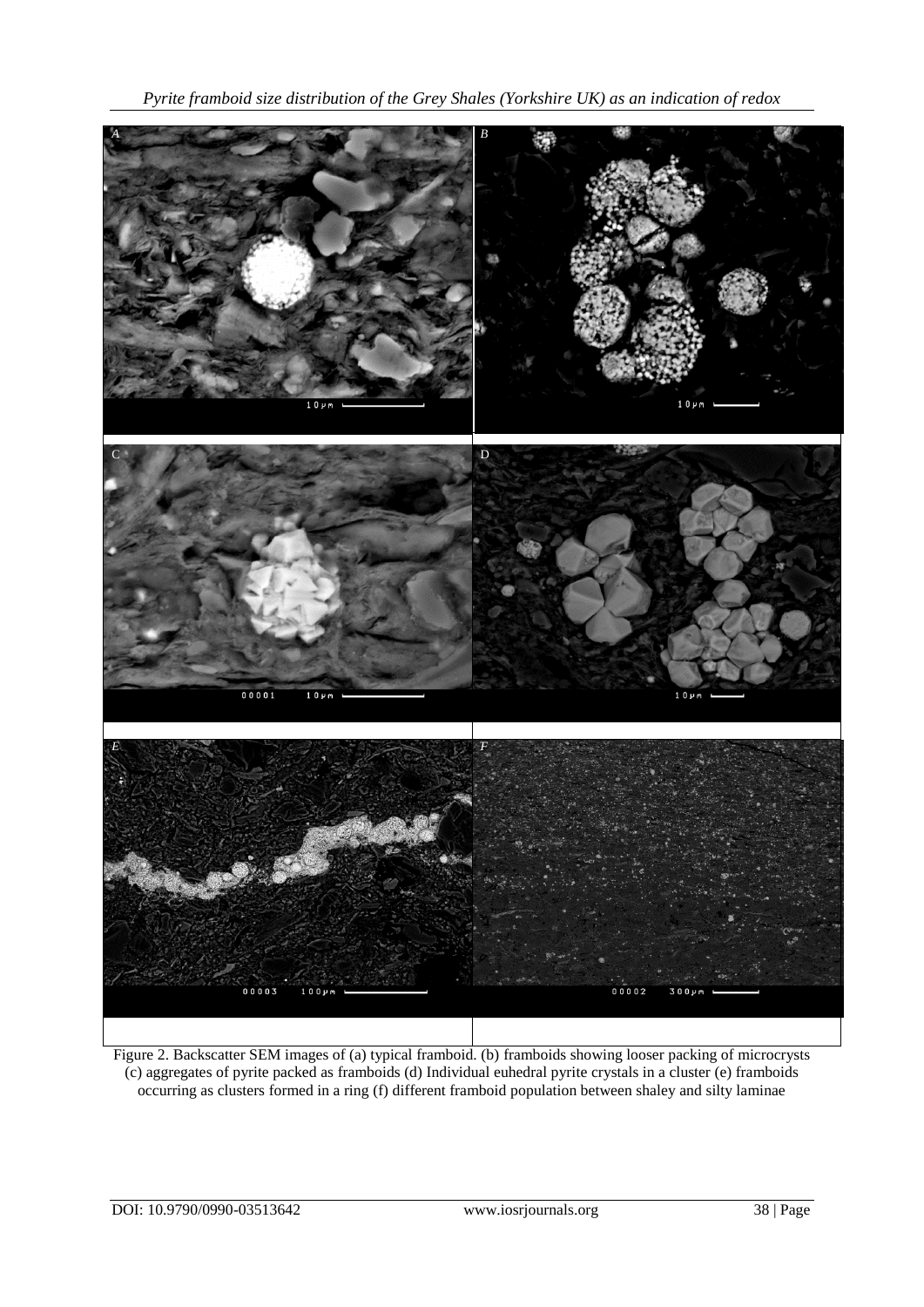*Pyrite framboid size distribution of the Grey Shales (Yorkshire UK) as an indication of redox*



Figure 2. Backscatter SEM images of (a) typical framboid. (b) framboids showing looser packing of microcrysts (c) aggregates of pyrite packed as framboids (d) Individual euhedral pyrite crystals in a cluster (e) framboids occurring as clusters formed in a ring (f) different framboid population between shaley and silty laminae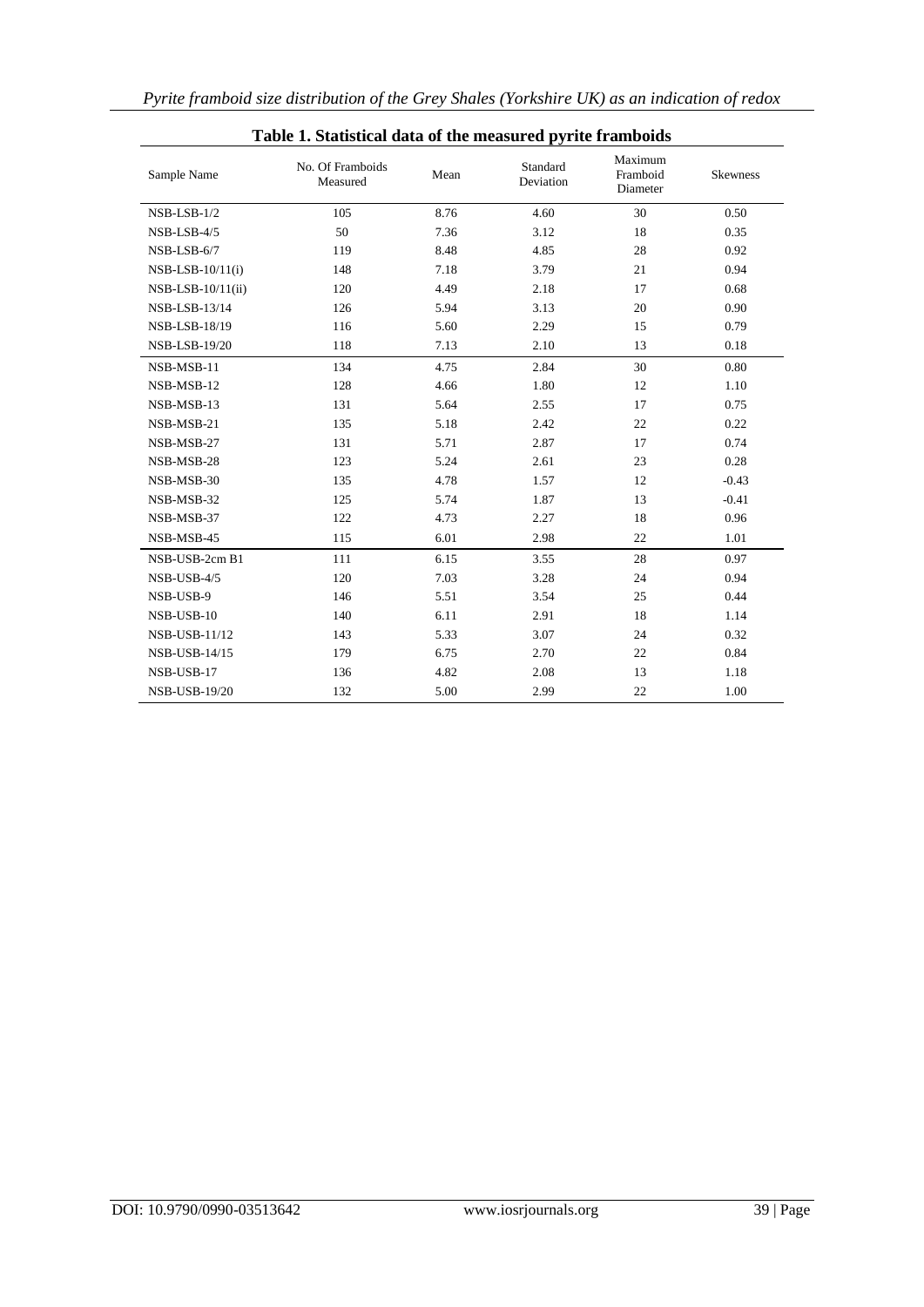| Table 1. Statistical data of the measured pyrite framboids |                              |      |                       |                                 |                 |  |
|------------------------------------------------------------|------------------------------|------|-----------------------|---------------------------------|-----------------|--|
| Sample Name                                                | No. Of Framboids<br>Measured | Mean | Standard<br>Deviation | Maximum<br>Framboid<br>Diameter | <b>Skewness</b> |  |
| $NSB-LSB-1/2$                                              | 105                          | 8.76 | 4.60                  | 30                              | 0.50            |  |
| NSB-LSB-4/5                                                | 50                           | 7.36 | 3.12                  | 18                              | 0.35            |  |
| NSB-LSB-6/7                                                | 119                          | 8.48 | 4.85                  | 28                              | 0.92            |  |
| $NSB-LSB-10/11(i)$                                         | 148                          | 7.18 | 3.79                  | 21                              | 0.94            |  |
| $NSB-LSB-10/11(ii)$                                        | 120                          | 4.49 | 2.18                  | 17                              | 0.68            |  |
| NSB-LSB-13/14                                              | 126                          | 5.94 | 3.13                  | 20                              | 0.90            |  |
| NSB-LSB-18/19                                              | 116                          | 5.60 | 2.29                  | 15                              | 0.79            |  |
| <b>NSB-LSB-19/20</b>                                       | 118                          | 7.13 | 2.10                  | 13                              | 0.18            |  |
| NSB-MSB-11                                                 | 134                          | 4.75 | 2.84                  | 30                              | 0.80            |  |
| NSB-MSB-12                                                 | 128                          | 4.66 | 1.80                  | 12                              | 1.10            |  |
| NSB-MSB-13                                                 | 131                          | 5.64 | 2.55                  | 17                              | 0.75            |  |
| NSB-MSB-21                                                 | 135                          | 5.18 | 2.42                  | 22                              | 0.22            |  |
| NSB-MSB-27                                                 | 131                          | 5.71 | 2.87                  | 17                              | 0.74            |  |
| NSB-MSB-28                                                 | 123                          | 5.24 | 2.61                  | 23                              | 0.28            |  |
| NSB-MSB-30                                                 | 135                          | 4.78 | 1.57                  | 12                              | $-0.43$         |  |
| NSB-MSB-32                                                 | 125                          | 5.74 | 1.87                  | 13                              | $-0.41$         |  |
| NSB-MSB-37                                                 | 122                          | 4.73 | 2.27                  | 18                              | 0.96            |  |
| NSB-MSB-45                                                 | 115                          | 6.01 | 2.98                  | 22                              | 1.01            |  |
| NSB-USB-2cm B1                                             | 111                          | 6.15 | 3.55                  | 28                              | 0.97            |  |
| NSB-USB-4/5                                                | 120                          | 7.03 | 3.28                  | 24                              | 0.94            |  |
| NSB-USB-9                                                  | 146                          | 5.51 | 3.54                  | 25                              | 0.44            |  |
| NSB-USB-10                                                 | 140                          | 6.11 | 2.91                  | 18                              | 1.14            |  |
| NSB-USB-11/12                                              | 143                          | 5.33 | 3.07                  | 24                              | 0.32            |  |
| NSB-USB-14/15                                              | 179                          | 6.75 | 2.70                  | 22                              | 0.84            |  |
| NSB-USB-17                                                 | 136                          | 4.82 | 2.08                  | 13                              | 1.18            |  |
| <b>NSB-USB-19/20</b>                                       | 132                          | 5.00 | 2.99                  | 22                              | 1.00            |  |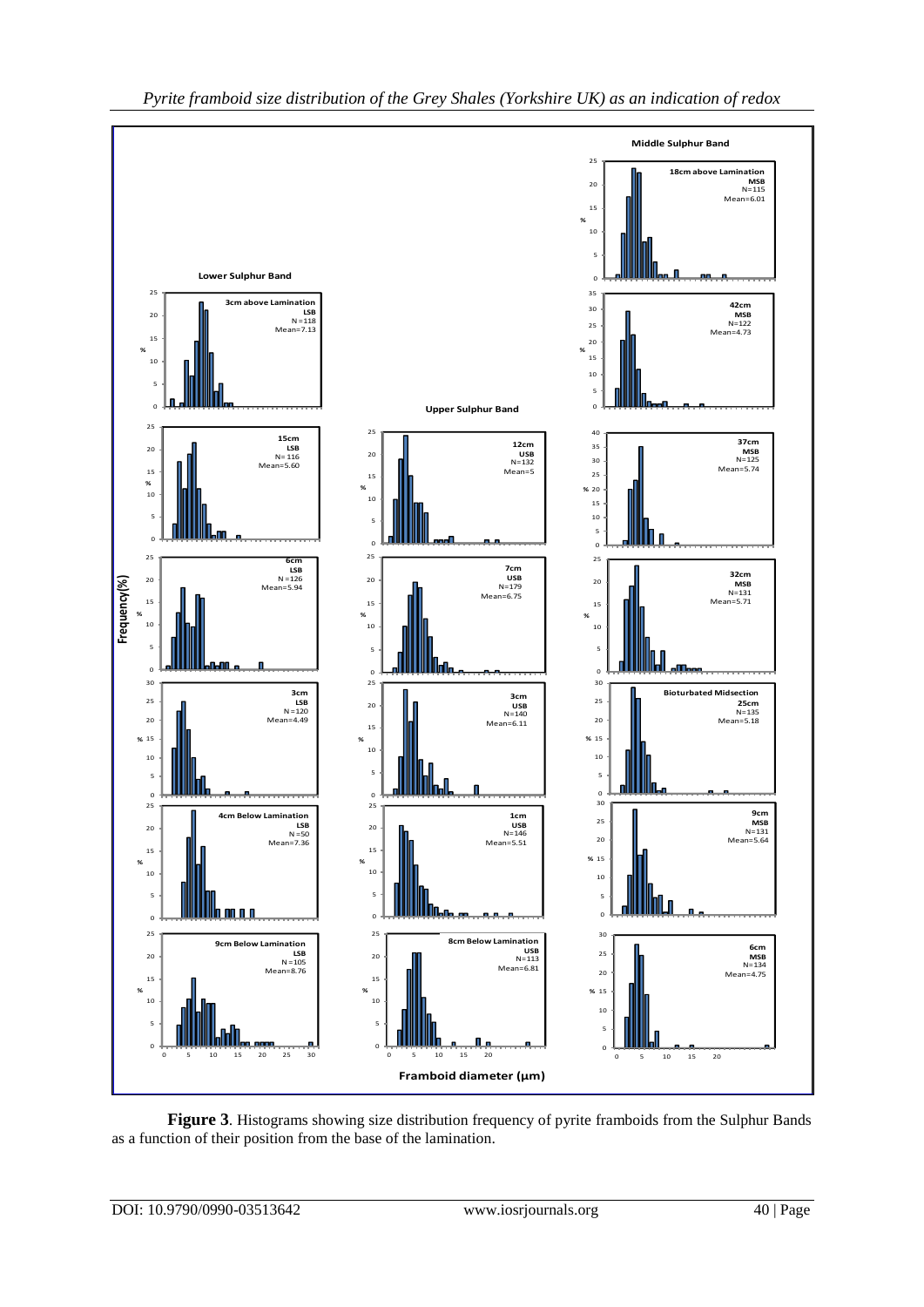

**Figure 3**. Histograms showing size distribution frequency of pyrite framboids from the Sulphur Bands as a function of their position from the base of the lamination.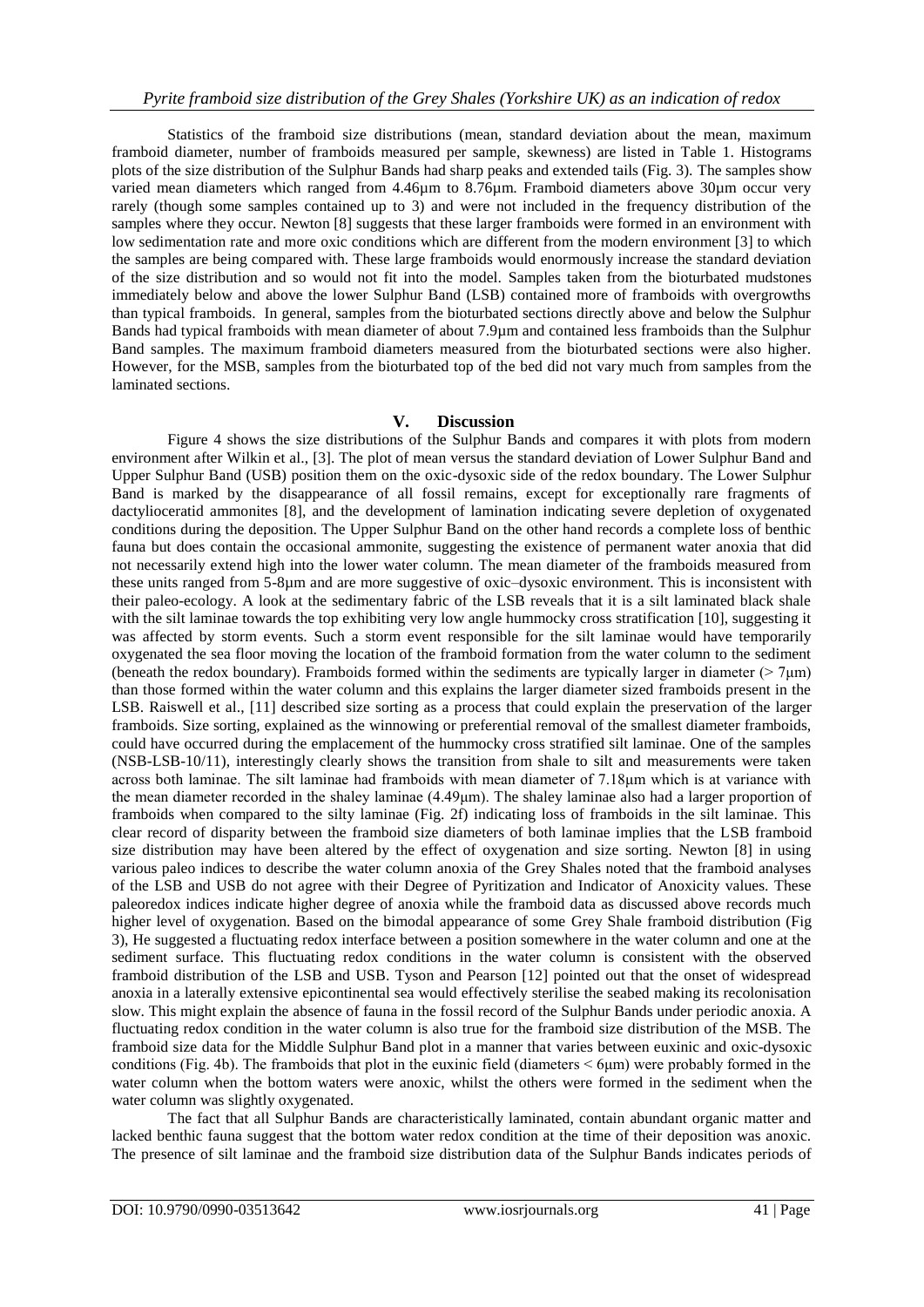Statistics of the framboid size distributions (mean, standard deviation about the mean, maximum framboid diameter, number of framboids measured per sample, skewness) are listed in Table 1. Histograms plots of the size distribution of the Sulphur Bands had sharp peaks and extended tails (Fig. 3). The samples show varied mean diameters which ranged from 4.46µm to 8.76µm. Framboid diameters above 30µm occur very rarely (though some samples contained up to 3) and were not included in the frequency distribution of the samples where they occur. Newton [8] suggests that these larger framboids were formed in an environment with low sedimentation rate and more oxic conditions which are different from the modern environment [3] to which the samples are being compared with. These large framboids would enormously increase the standard deviation of the size distribution and so would not fit into the model. Samples taken from the bioturbated mudstones immediately below and above the lower Sulphur Band (LSB) contained more of framboids with overgrowths than typical framboids. In general, samples from the bioturbated sections directly above and below the Sulphur Bands had typical framboids with mean diameter of about 7.9µm and contained less framboids than the Sulphur Band samples. The maximum framboid diameters measured from the bioturbated sections were also higher. However, for the MSB, samples from the bioturbated top of the bed did not vary much from samples from the laminated sections.

#### **V. Discussion**

Figure 4 shows the size distributions of the Sulphur Bands and compares it with plots from modern environment after Wilkin et al., [3]. The plot of mean versus the standard deviation of Lower Sulphur Band and Upper Sulphur Band (USB) position them on the oxic-dysoxic side of the redox boundary. The Lower Sulphur Band is marked by the disappearance of all fossil remains, except for exceptionally rare fragments of dactylioceratid ammonites [8], and the development of lamination indicating severe depletion of oxygenated conditions during the deposition. The Upper Sulphur Band on the other hand records a complete loss of benthic fauna but does contain the occasional ammonite, suggesting the existence of permanent water anoxia that did not necessarily extend high into the lower water column. The mean diameter of the framboids measured from these units ranged from 5-8µm and are more suggestive of oxic–dysoxic environment. This is inconsistent with their paleo-ecology. A look at the sedimentary fabric of the LSB reveals that it is a silt laminated black shale with the silt laminae towards the top exhibiting very low angle hummocky cross stratification [10], suggesting it was affected by storm events. Such a storm event responsible for the silt laminae would have temporarily oxygenated the sea floor moving the location of the framboid formation from the water column to the sediment (beneath the redox boundary). Framboids formed within the sediments are typically larger in diameter ( $>7\mu$ m) than those formed within the water column and this explains the larger diameter sized framboids present in the LSB. Raiswell et al., [11] described size sorting as a process that could explain the preservation of the larger framboids. Size sorting, explained as the winnowing or preferential removal of the smallest diameter framboids, could have occurred during the emplacement of the hummocky cross stratified silt laminae. One of the samples (NSB-LSB-10/11), interestingly clearly shows the transition from shale to silt and measurements were taken across both laminae. The silt laminae had framboids with mean diameter of 7.18μm which is at variance with the mean diameter recorded in the shaley laminae (4.49μm). The shaley laminae also had a larger proportion of framboids when compared to the silty laminae (Fig. 2f) indicating loss of framboids in the silt laminae. This clear record of disparity between the framboid size diameters of both laminae implies that the LSB framboid size distribution may have been altered by the effect of oxygenation and size sorting. Newton [8] in using various paleo indices to describe the water column anoxia of the Grey Shales noted that the framboid analyses of the LSB and USB do not agree with their Degree of Pyritization and Indicator of Anoxicity values. These paleoredox indices indicate higher degree of anoxia while the framboid data as discussed above records much higher level of oxygenation. Based on the bimodal appearance of some Grey Shale framboid distribution (Fig 3), He suggested a fluctuating redox interface between a position somewhere in the water column and one at the sediment surface. This fluctuating redox conditions in the water column is consistent with the observed framboid distribution of the LSB and USB. Tyson and Pearson [12] pointed out that the onset of widespread anoxia in a laterally extensive epicontinental sea would effectively sterilise the seabed making its recolonisation slow. This might explain the absence of fauna in the fossil record of the Sulphur Bands under periodic anoxia. A fluctuating redox condition in the water column is also true for the framboid size distribution of the MSB. The framboid size data for the Middle Sulphur Band plot in a manner that varies between euxinic and oxic-dysoxic conditions (Fig. 4b). The framboids that plot in the euxinic field (diameters < 6μm) were probably formed in the water column when the bottom waters were anoxic, whilst the others were formed in the sediment when the water column was slightly oxygenated.

The fact that all Sulphur Bands are characteristically laminated, contain abundant organic matter and lacked benthic fauna suggest that the bottom water redox condition at the time of their deposition was anoxic. The presence of silt laminae and the framboid size distribution data of the Sulphur Bands indicates periods of